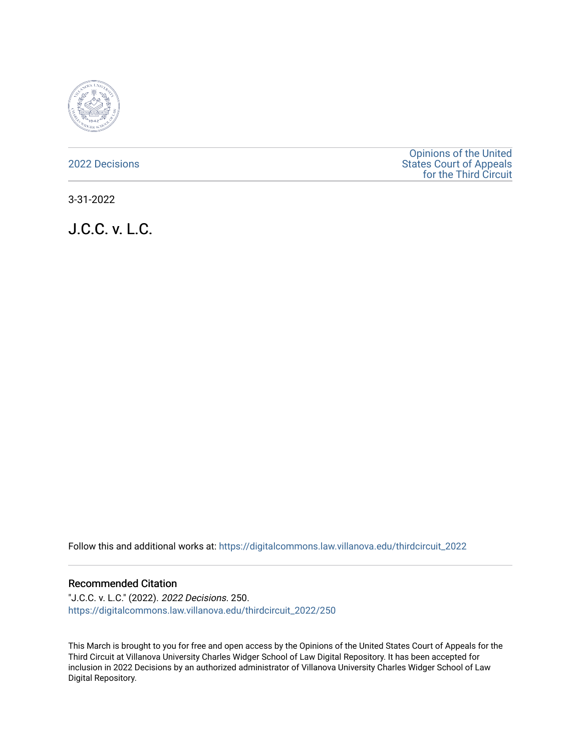

[2022 Decisions](https://digitalcommons.law.villanova.edu/thirdcircuit_2022)

[Opinions of the United](https://digitalcommons.law.villanova.edu/thirdcircuit)  [States Court of Appeals](https://digitalcommons.law.villanova.edu/thirdcircuit)  [for the Third Circuit](https://digitalcommons.law.villanova.edu/thirdcircuit) 

3-31-2022

J.C.C. v. L.C.

Follow this and additional works at: [https://digitalcommons.law.villanova.edu/thirdcircuit\\_2022](https://digitalcommons.law.villanova.edu/thirdcircuit_2022?utm_source=digitalcommons.law.villanova.edu%2Fthirdcircuit_2022%2F250&utm_medium=PDF&utm_campaign=PDFCoverPages) 

#### Recommended Citation

"J.C.C. v. L.C." (2022). 2022 Decisions. 250. [https://digitalcommons.law.villanova.edu/thirdcircuit\\_2022/250](https://digitalcommons.law.villanova.edu/thirdcircuit_2022/250?utm_source=digitalcommons.law.villanova.edu%2Fthirdcircuit_2022%2F250&utm_medium=PDF&utm_campaign=PDFCoverPages)

This March is brought to you for free and open access by the Opinions of the United States Court of Appeals for the Third Circuit at Villanova University Charles Widger School of Law Digital Repository. It has been accepted for inclusion in 2022 Decisions by an authorized administrator of Villanova University Charles Widger School of Law Digital Repository.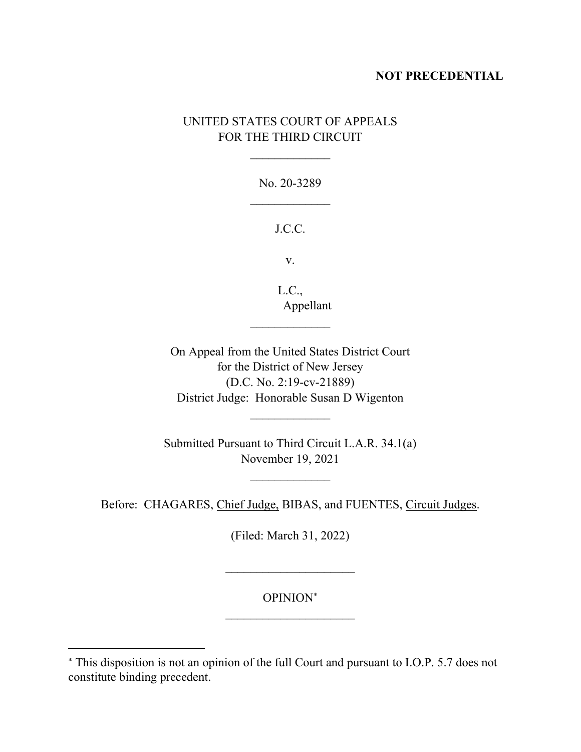## **NOT PRECEDENTIAL**

# UNITED STATES COURT OF APPEALS FOR THE THIRD CIRCUIT

No. 20-3289  $\frac{1}{2}$ 

### J.C.C.

v.

L.C., Appellant

On Appeal from the United States District Court for the District of New Jersey (D.C. No. 2:19-cv-21889) District Judge: Honorable Susan D Wigenton

 $\mathcal{L}_\text{max}$ 

Submitted Pursuant to Third Circuit L.A.R. 34.1(a) November 19, 2021

 $\mathcal{L}_\text{max}$ 

Before: CHAGARES, Chief Judge, BIBAS, and FUENTES, Circuit Judges.

(Filed: March 31, 2022)

OPINION

This disposition is not an opinion of the full Court and pursuant to I.O.P. 5.7 does not constitute binding precedent.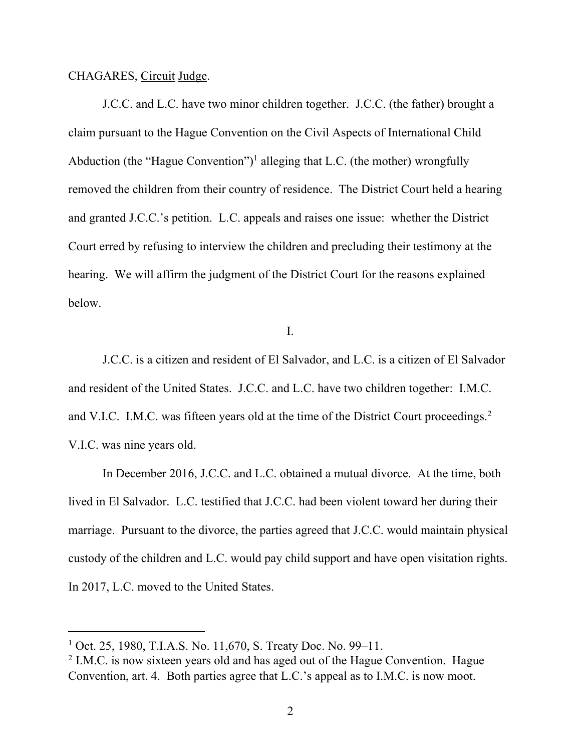CHAGARES, Circuit Judge.

J.C.C. and L.C. have two minor children together. J.C.C. (the father) brought a claim pursuant to the Hague Convention on the Civil Aspects of International Child Abduction (the "Hague Convention")<sup>1</sup> alleging that L.C. (the mother) wrongfully removed the children from their country of residence. The District Court held a hearing and granted J.C.C.'s petition. L.C. appeals and raises one issue: whether the District Court erred by refusing to interview the children and precluding their testimony at the hearing. We will affirm the judgment of the District Court for the reasons explained below.

I.

J.C.C. is a citizen and resident of El Salvador, and L.C. is a citizen of El Salvador and resident of the United States. J.C.C. and L.C. have two children together: I.M.C. and V.I.C. I.M.C. was fifteen years old at the time of the District Court proceedings.<sup>2</sup> V.I.C. was nine years old.

In December 2016, J.C.C. and L.C. obtained a mutual divorce. At the time, both lived in El Salvador. L.C. testified that J.C.C. had been violent toward her during their marriage. Pursuant to the divorce, the parties agreed that J.C.C. would maintain physical custody of the children and L.C. would pay child support and have open visitation rights. In 2017, L.C. moved to the United States.

<sup>&</sup>lt;sup>1</sup> Oct. 25, 1980, T.I.A.S. No. 11,670, S. Treaty Doc. No. 99–11.

 $2$  I.M.C. is now sixteen years old and has aged out of the Hague Convention. Hague Convention, art. 4. Both parties agree that L.C.'s appeal as to I.M.C. is now moot.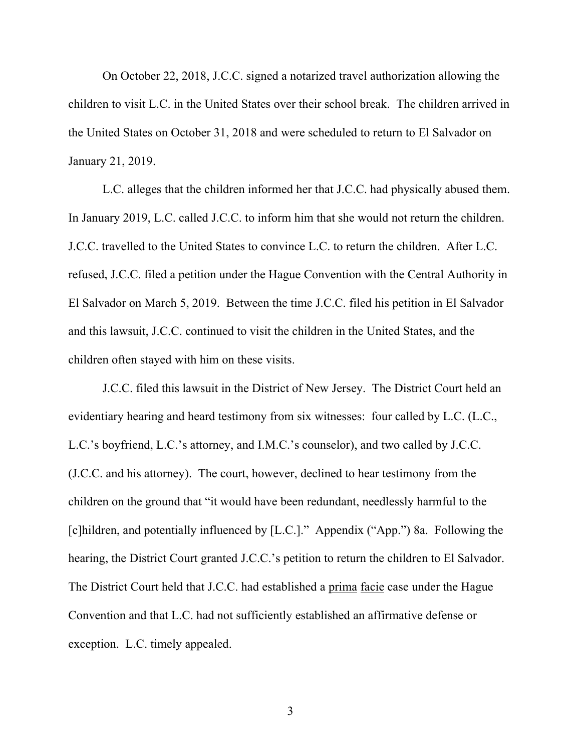On October 22, 2018, J.C.C. signed a notarized travel authorization allowing the children to visit L.C. in the United States over their school break. The children arrived in the United States on October 31, 2018 and were scheduled to return to El Salvador on January 21, 2019.

L.C. alleges that the children informed her that J.C.C. had physically abused them. In January 2019, L.C. called J.C.C. to inform him that she would not return the children. J.C.C. travelled to the United States to convince L.C. to return the children. After L.C. refused, J.C.C. filed a petition under the Hague Convention with the Central Authority in El Salvador on March 5, 2019. Between the time J.C.C. filed his petition in El Salvador and this lawsuit, J.C.C. continued to visit the children in the United States, and the children often stayed with him on these visits.

J.C.C. filed this lawsuit in the District of New Jersey. The District Court held an evidentiary hearing and heard testimony from six witnesses: four called by L.C. (L.C., L.C.'s boyfriend, L.C.'s attorney, and I.M.C.'s counselor), and two called by J.C.C. (J.C.C. and his attorney). The court, however, declined to hear testimony from the children on the ground that "it would have been redundant, needlessly harmful to the [c]hildren, and potentially influenced by [L.C.]." Appendix ("App.") 8a.Following the hearing, the District Court granted J.C.C.'s petition to return the children to El Salvador. The District Court held that J.C.C. had established a prima facie case under the Hague Convention and that L.C. had not sufficiently established an affirmative defense or exception. L.C. timely appealed.

3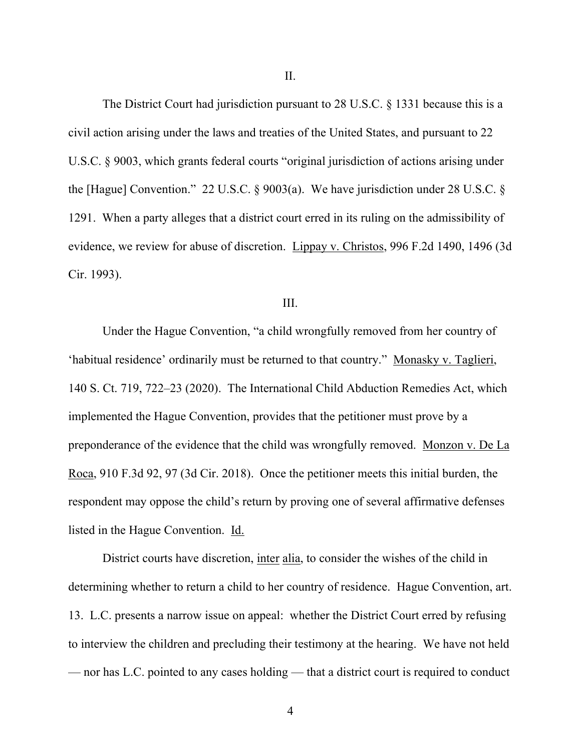II.

The District Court had jurisdiction pursuant to 28 U.S.C. § 1331 because this is a civil action arising under the laws and treaties of the United States, and pursuant to 22 U.S.C. § 9003, which grants federal courts "original jurisdiction of actions arising under the [Hague] Convention." 22 U.S.C. § 9003(a). We have jurisdiction under 28 U.S.C. § 1291. When a party alleges that a district court erred in its ruling on the admissibility of evidence, we review for abuse of discretion. Lippay v. Christos, 996 F.2d 1490, 1496 (3d Cir. 1993).

#### III.

Under the Hague Convention, "a child wrongfully removed from her country of 'habitual residence' ordinarily must be returned to that country." Monasky v. Taglieri, 140 S. Ct. 719, 722–23 (2020). The International Child Abduction Remedies Act, which implemented the Hague Convention, provides that the petitioner must prove by a preponderance of the evidence that the child was wrongfully removed. Monzon v. De La Roca, 910 F.3d 92, 97 (3d Cir. 2018). Once the petitioner meets this initial burden, the respondent may oppose the child's return by proving one of several affirmative defenses listed in the Hague Convention. Id.

District courts have discretion, inter alia, to consider the wishes of the child in determining whether to return a child to her country of residence. Hague Convention, art. 13. L.C. presents a narrow issue on appeal: whether the District Court erred by refusing to interview the children and precluding their testimony at the hearing. We have not held — nor has L.C. pointed to any cases holding — that a district court is required to conduct

4